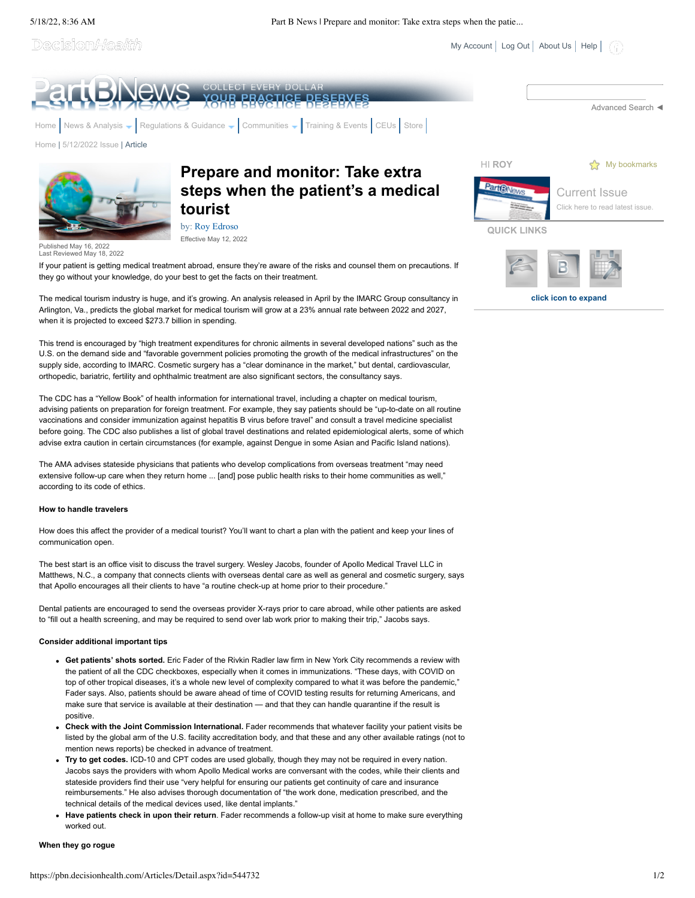5/18/22, 8:36 AM Part B News | Prepare and monitor: Take extra steps when the patie...

Decision*Health* 

 $My Account$  [Log Out](javascript:__doPostBack() | [About Us](https://pbn.decisionhealth.com/About/Default.aspx) | [Help](https://pbn.decisionhealth.com/About/Help.aspx) |

**click icon to expand**



The medical tourism industry is huge, and it's growing. An analysis released in April by the IMARC Group consultancy in Arlington, Va., predicts the global market for medical tourism will grow at a 23% annual rate between 2022 and 2027, when it is projected to exceed \$273.7 billion in spending.

This trend is encouraged by "high treatment expenditures for chronic ailments in several developed nations" such as the U.S. on the demand side and "favorable government policies promoting the growth of the medical infrastructures" on the supply side, according to IMARC. Cosmetic surgery has a "clear dominance in the market," but dental, cardiovascular, orthopedic, bariatric, fertility and ophthalmic treatment are also significant sectors, the consultancy says.

The CDC has a "Yellow Book" of health information for international travel, including a chapter on medical tourism, advising patients on preparation for foreign treatment. For example, they say patients should be "up-to-date on all routine vaccinations and consider immunization against hepatitis B virus before travel" and consult a travel medicine specialist before going. The CDC also publishes a list of global travel destinations and related epidemiological alerts, some of which advise extra caution in certain circumstances (for example, against Dengue in some Asian and Pacific Island nations).

The AMA advises stateside physicians that patients who develop complications from overseas treatment "may need extensive follow-up care when they return home ... [and] pose public health risks to their home communities as well," according to its code of ethics.

## **How to handle travelers**

How does this affect the provider of a medical tourist? You'll want to chart a plan with the patient and keep your lines of communication open.

The best start is an office visit to discuss the travel surgery. Wesley Jacobs, founder of Apollo Medical Travel LLC in Matthews, N.C., a company that connects clients with overseas dental care as well as general and cosmetic surgery, says that Apollo encourages all their clients to have "a routine check-up at home prior to their procedure."

Dental patients are encouraged to send the overseas provider X-rays prior to care abroad, while other patients are asked to "fill out a health screening, and may be required to send over lab work prior to making their trip," Jacobs says.

# **Consider additional important tips**

- **Get patients' shots sorted.** Eric Fader of the Rivkin Radler law firm in New York City recommends a review with the patient of all the CDC checkboxes, especially when it comes in immunizations. "These days, with COVID on top of other tropical diseases, it's a whole new level of complexity compared to what it was before the pandemic," Fader says. Also, patients should be aware ahead of time of COVID testing results for returning Americans, and make sure that service is available at their destination — and that they can handle quarantine if the result is positive.
- **Check with the Joint Commission International.** Fader recommends that whatever facility your patient visits be listed by the global arm of the U.S. facility accreditation body, and that these and any other available ratings (not to mention news reports) be checked in advance of treatment.
- **Try to get codes.** ICD-10 and CPT codes are used globally, though they may not be required in every nation. Jacobs says the providers with whom Apollo Medical works are conversant with the codes, while their clients and stateside providers find their use "very helpful for ensuring our patients get continuity of care and insurance reimbursements." He also advises thorough documentation of "the work done, medication prescribed, and the technical details of the medical devices used, like dental implants."
- **Have patients check in upon their return**. Fader recommends a follow-up visit at home to make sure everything worked out.

### **When they go rogue**